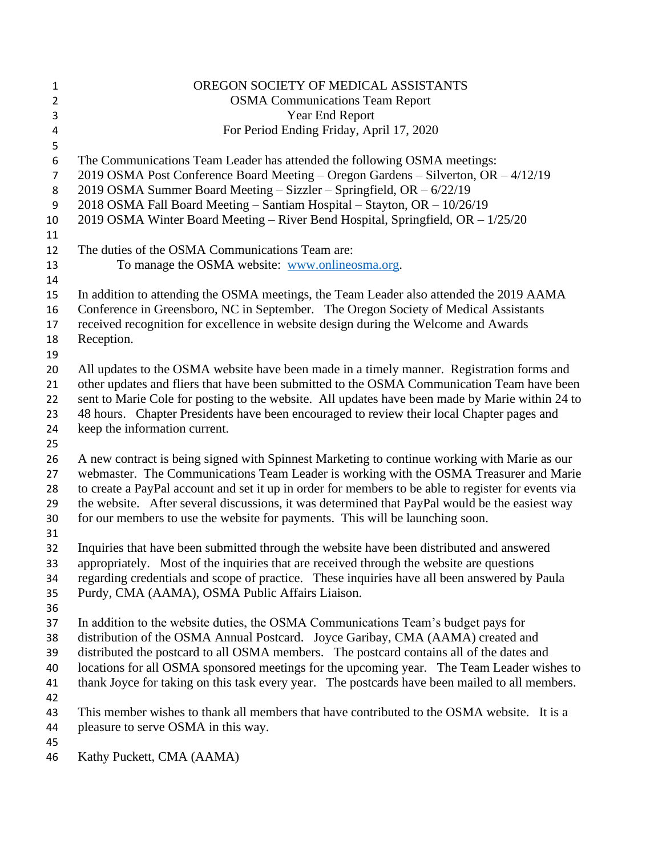| 1              | OREGON SOCIETY OF MEDICAL ASSISTANTS                                                                |
|----------------|-----------------------------------------------------------------------------------------------------|
| $\overline{2}$ | <b>OSMA Communications Team Report</b>                                                              |
| 3              | Year End Report                                                                                     |
| 4              | For Period Ending Friday, April 17, 2020                                                            |
| 5              |                                                                                                     |
| 6              | The Communications Team Leader has attended the following OSMA meetings:                            |
| $\overline{7}$ | 2019 OSMA Post Conference Board Meeting - Oregon Gardens - Silverton, OR - 4/12/19                  |
| 8              | 2019 OSMA Summer Board Meeting - Sizzler - Springfield, OR - 6/22/19                                |
| 9              | 2018 OSMA Fall Board Meeting - Santiam Hospital - Stayton, OR - 10/26/19                            |
| 10             | 2019 OSMA Winter Board Meeting - River Bend Hospital, Springfield, OR - 1/25/20                     |
| 11             |                                                                                                     |
| 12             | The duties of the OSMA Communications Team are:                                                     |
| 13             | To manage the OSMA website: www.onlineosma.org.                                                     |
| 14             |                                                                                                     |
| 15             | In addition to attending the OSMA meetings, the Team Leader also attended the 2019 AAMA             |
| 16             | Conference in Greensboro, NC in September. The Oregon Society of Medical Assistants                 |
| 17             | received recognition for excellence in website design during the Welcome and Awards                 |
| 18             | Reception.                                                                                          |
| 19             |                                                                                                     |
| 20             | All updates to the OSMA website have been made in a timely manner. Registration forms and           |
| 21             | other updates and fliers that have been submitted to the OSMA Communication Team have been          |
| 22             | sent to Marie Cole for posting to the website. All updates have been made by Marie within 24 to     |
| 23             | 48 hours. Chapter Presidents have been encouraged to review their local Chapter pages and           |
| 24             | keep the information current.                                                                       |
| 25<br>26       | A new contract is being signed with Spinnest Marketing to continue working with Marie as our        |
| 27             | webmaster. The Communications Team Leader is working with the OSMA Treasurer and Marie              |
| 28             | to create a PayPal account and set it up in order for members to be able to register for events via |
| 29             | the website. After several discussions, it was determined that PayPal would be the easiest way      |
| 30             | for our members to use the website for payments. This will be launching soon.                       |
| 31             |                                                                                                     |
| 32             | Inquiries that have been submitted through the website have been distributed and answered           |
| 33             | appropriately. Most of the inquiries that are received through the website are questions            |
| 34             | regarding credentials and scope of practice. These inquiries have all been answered by Paula        |
| 35             | Purdy, CMA (AAMA), OSMA Public Affairs Liaison.                                                     |
| 36             |                                                                                                     |
| 37             | In addition to the website duties, the OSMA Communications Team's budget pays for                   |
| 38             | distribution of the OSMA Annual Postcard. Joyce Garibay, CMA (AAMA) created and                     |
| 39             | distributed the postcard to all OSMA members. The postcard contains all of the dates and            |
| 40             | locations for all OSMA sponsored meetings for the upcoming year. The Team Leader wishes to          |
| 41             | thank Joyce for taking on this task every year. The postcards have been mailed to all members.      |
| 42             |                                                                                                     |
| 43             | This member wishes to thank all members that have contributed to the OSMA website. It is a          |
| 44             | pleasure to serve OSMA in this way.                                                                 |
| 45             |                                                                                                     |
|                |                                                                                                     |

Kathy Puckett, CMA (AAMA)